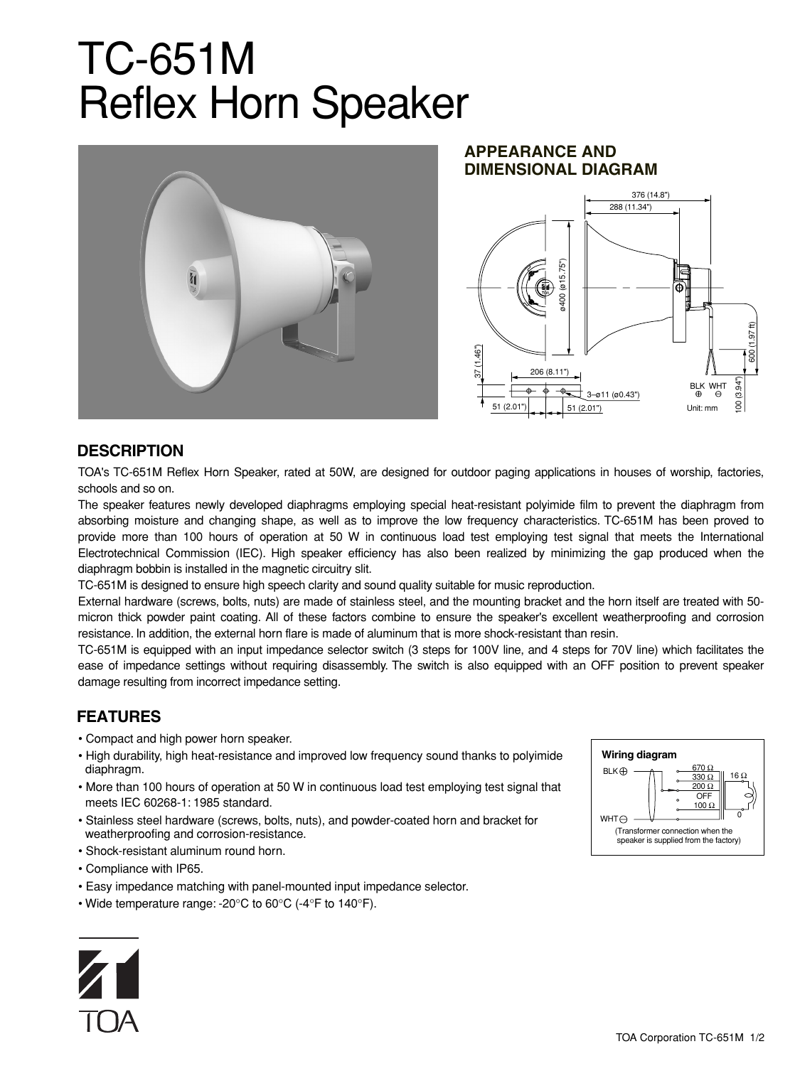# TC-651M Reflex Horn Speaker



#### **APPEARANCE AND DIMENSIONAL DIAGRAM**



### **DESCRIPTION**

TOA's TC-651M Reflex Horn Speaker, rated at 50W, are designed for outdoor paging applications in houses of worship, factories, schools and so on.

The speaker features newly developed diaphragms employing special heat-resistant polyimide film to prevent the diaphragm from absorbing moisture and changing shape, as well as to improve the low frequency characteristics. TC-651M has been proved to provide more than 100 hours of operation at 50 W in continuous load test employing test signal that meets the International Electrotechnical Commission (IEC). High speaker efficiency has also been realized by minimizing the gap produced when the diaphragm bobbin is installed in the magnetic circuitry slit.

TC-651M is designed to ensure high speech clarity and sound quality suitable for music reproduction.

External hardware (screws, bolts, nuts) are made of stainless steel, and the mounting bracket and the horn itself are treated with 50 micron thick powder paint coating. All of these factors combine to ensure the speaker's excellent weatherproofing and corrosion resistance. In addition, the external horn flare is made of aluminum that is more shock-resistant than resin.

TC-651M is equipped with an input impedance selector switch (3 steps for 100V line, and 4 steps for 70V line) which facilitates the ease of impedance settings without requiring disassembly. The switch is also equipped with an OFF position to prevent speaker damage resulting from incorrect impedance setting.

## **FEATURES**

- Compact and high power horn speaker.
- High durability, high heat-resistance and improved low frequency sound thanks to polyimide diaphragm.
- More than 100 hours of operation at 50 W in continuous load test employing test signal that meets IEC 60268-1: 1985 standard.
- Stainless steel hardware (screws, bolts, nuts), and powder-coated horn and bracket for weatherproofing and corrosion-resistance.
- Shock-resistant aluminum round horn.
- Compliance with IP65.
- Easy impedance matching with panel-mounted input impedance selector.
- Wide temperature range: -20°C to 60°C (-4°F to 140°F).